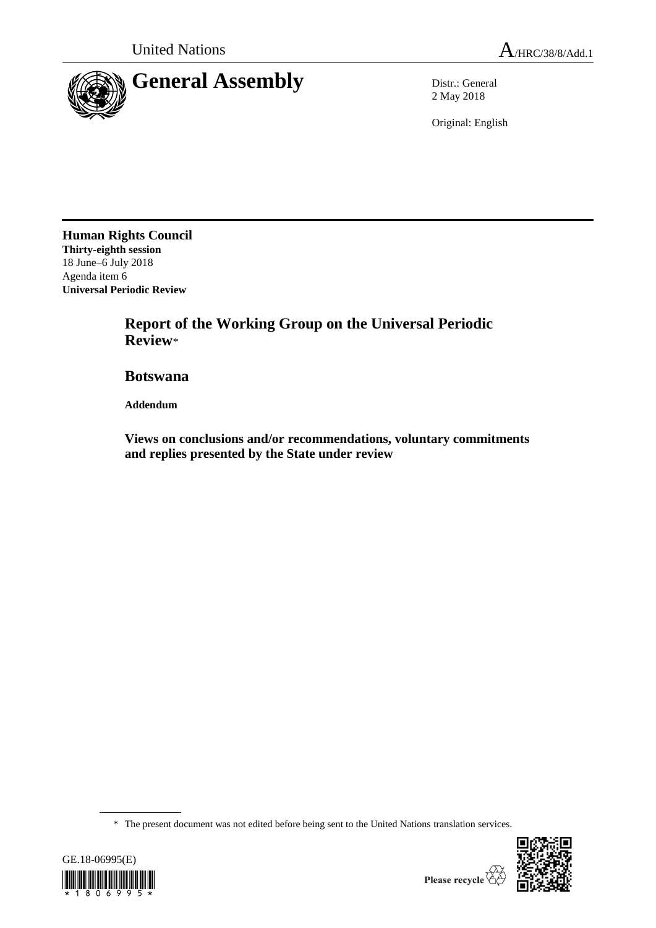

2 May 2018

Original: English

**Human Rights Council Thirty-eighth session** 18 June–6 July 2018 Agenda item 6 **Universal Periodic Review**

> **Report of the Working Group on the Universal Periodic Review**\*

**Botswana**

**Addendum**

**Views on conclusions and/or recommendations, voluntary commitments and replies presented by the State under review**

\* The present document was not edited before being sent to the United Nations translation services.



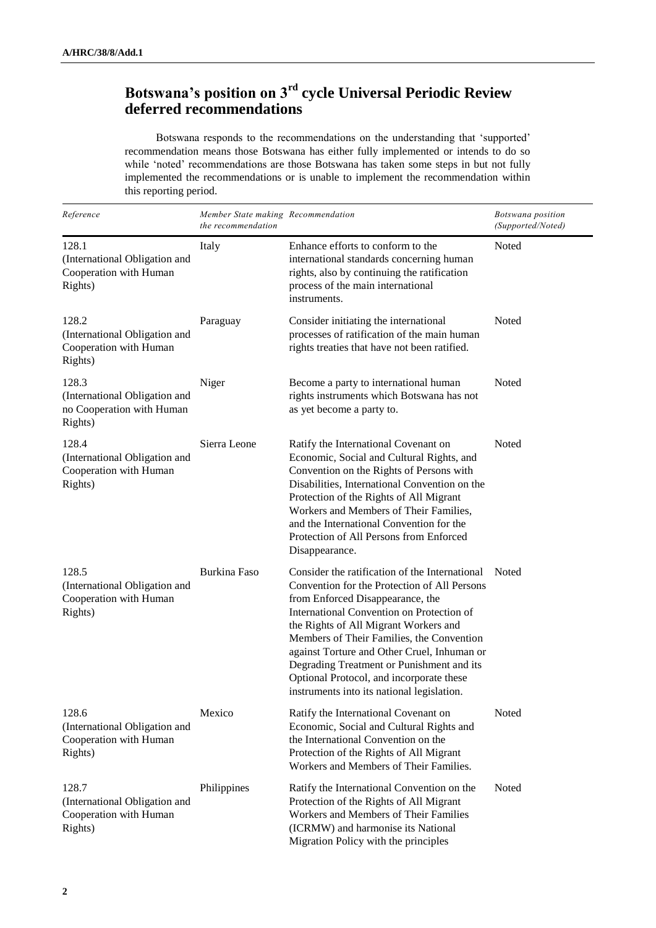# **Botswana's position on 3rd cycle Universal Periodic Review deferred recommendations**

Botswana responds to the recommendations on the understanding that 'supported' recommendation means those Botswana has either fully implemented or intends to do so while 'noted' recommendations are those Botswana has taken some steps in but not fully implemented the recommendations or is unable to implement the recommendation within this reporting period.

| Reference                                                                      | Member State making Recommendation<br>the recommendation |                                                                                                                                                                                                                                                                                                                                                                                                                                                             | Botswana position<br>(Supported/Noted) |
|--------------------------------------------------------------------------------|----------------------------------------------------------|-------------------------------------------------------------------------------------------------------------------------------------------------------------------------------------------------------------------------------------------------------------------------------------------------------------------------------------------------------------------------------------------------------------------------------------------------------------|----------------------------------------|
| 128.1<br>(International Obligation and<br>Cooperation with Human<br>Rights)    | Italy                                                    | Enhance efforts to conform to the<br>international standards concerning human<br>rights, also by continuing the ratification<br>process of the main international<br>instruments.                                                                                                                                                                                                                                                                           | Noted                                  |
| 128.2<br>(International Obligation and<br>Cooperation with Human<br>Rights)    | Paraguay                                                 | Consider initiating the international<br>processes of ratification of the main human<br>rights treaties that have not been ratified.                                                                                                                                                                                                                                                                                                                        | Noted                                  |
| 128.3<br>(International Obligation and<br>no Cooperation with Human<br>Rights) | Niger                                                    | Become a party to international human<br>rights instruments which Botswana has not<br>as yet become a party to.                                                                                                                                                                                                                                                                                                                                             | Noted                                  |
| 128.4<br>(International Obligation and<br>Cooperation with Human<br>Rights)    | Sierra Leone                                             | Ratify the International Covenant on<br>Economic, Social and Cultural Rights, and<br>Convention on the Rights of Persons with<br>Disabilities, International Convention on the<br>Protection of the Rights of All Migrant<br>Workers and Members of Their Families,<br>and the International Convention for the<br>Protection of All Persons from Enforced<br>Disappearance.                                                                                | Noted                                  |
| 128.5<br>(International Obligation and<br>Cooperation with Human<br>Rights)    | <b>Burkina Faso</b>                                      | Consider the ratification of the International<br>Convention for the Protection of All Persons<br>from Enforced Disappearance, the<br>International Convention on Protection of<br>the Rights of All Migrant Workers and<br>Members of Their Families, the Convention<br>against Torture and Other Cruel, Inhuman or<br>Degrading Treatment or Punishment and its<br>Optional Protocol, and incorporate these<br>instruments into its national legislation. | Noted                                  |
| 128.6<br>(International Obligation and<br>Cooperation with Human<br>Rights)    | Mexico                                                   | Ratify the International Covenant on<br>Economic, Social and Cultural Rights and<br>the International Convention on the<br>Protection of the Rights of All Migrant<br>Workers and Members of Their Families.                                                                                                                                                                                                                                                | Noted                                  |
| 128.7<br>(International Obligation and<br>Cooperation with Human<br>Rights)    | Philippines                                              | Ratify the International Convention on the<br>Protection of the Rights of All Migrant<br>Workers and Members of Their Families<br>(ICRMW) and harmonise its National<br>Migration Policy with the principles                                                                                                                                                                                                                                                | Noted                                  |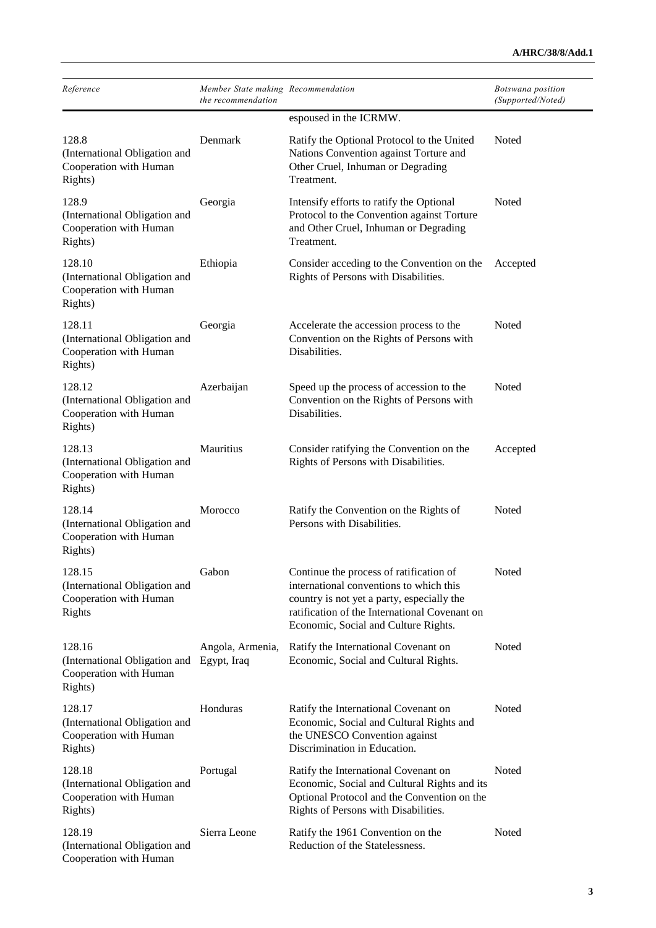| Reference                                                                    | Member State making Recommendation<br>the recommendation |                                                                                                                                                                                                                           | Botswana position<br>(Supported/Noted) |
|------------------------------------------------------------------------------|----------------------------------------------------------|---------------------------------------------------------------------------------------------------------------------------------------------------------------------------------------------------------------------------|----------------------------------------|
|                                                                              |                                                          | espoused in the ICRMW.                                                                                                                                                                                                    |                                        |
| 128.8<br>(International Obligation and<br>Cooperation with Human<br>Rights)  | Denmark                                                  | Ratify the Optional Protocol to the United<br>Nations Convention against Torture and<br>Other Cruel, Inhuman or Degrading<br>Treatment.                                                                                   | Noted                                  |
| 128.9<br>(International Obligation and<br>Cooperation with Human<br>Rights)  | Georgia                                                  | Intensify efforts to ratify the Optional<br>Protocol to the Convention against Torture<br>and Other Cruel, Inhuman or Degrading<br>Treatment.                                                                             | Noted                                  |
| 128.10<br>(International Obligation and<br>Cooperation with Human<br>Rights) | Ethiopia                                                 | Consider acceding to the Convention on the<br>Rights of Persons with Disabilities.                                                                                                                                        | Accepted                               |
| 128.11<br>(International Obligation and<br>Cooperation with Human<br>Rights) | Georgia                                                  | Accelerate the accession process to the<br>Convention on the Rights of Persons with<br>Disabilities.                                                                                                                      | Noted                                  |
| 128.12<br>(International Obligation and<br>Cooperation with Human<br>Rights) | Azerbaijan                                               | Speed up the process of accession to the<br>Convention on the Rights of Persons with<br>Disabilities.                                                                                                                     | <b>Noted</b>                           |
| 128.13<br>(International Obligation and<br>Cooperation with Human<br>Rights) | Mauritius                                                | Consider ratifying the Convention on the<br>Rights of Persons with Disabilities.                                                                                                                                          | Accepted                               |
| 128.14<br>(International Obligation and<br>Cooperation with Human<br>Rights) | Morocco                                                  | Ratify the Convention on the Rights of<br>Persons with Disabilities.                                                                                                                                                      | Noted                                  |
| 128.15<br>(International Obligation and<br>Cooperation with Human<br>Rights  | Gabon                                                    | Continue the process of ratification of<br>international conventions to which this<br>country is not yet a party, especially the<br>ratification of the International Covenant on<br>Economic, Social and Culture Rights. | Noted                                  |
| 128.16<br>(International Obligation and<br>Cooperation with Human<br>Rights) | Angola, Armenia,<br>Egypt, Iraq                          | Ratify the International Covenant on<br>Economic, Social and Cultural Rights.                                                                                                                                             | Noted                                  |
| 128.17<br>(International Obligation and<br>Cooperation with Human<br>Rights) | Honduras                                                 | Ratify the International Covenant on<br>Economic, Social and Cultural Rights and<br>the UNESCO Convention against<br>Discrimination in Education.                                                                         | Noted                                  |
| 128.18<br>(International Obligation and<br>Cooperation with Human<br>Rights) | Portugal                                                 | Ratify the International Covenant on<br>Economic, Social and Cultural Rights and its<br>Optional Protocol and the Convention on the<br>Rights of Persons with Disabilities.                                               | Noted                                  |
| 128.19<br>(International Obligation and<br>Cooperation with Human            | Sierra Leone                                             | Ratify the 1961 Convention on the<br>Reduction of the Statelessness.                                                                                                                                                      | Noted                                  |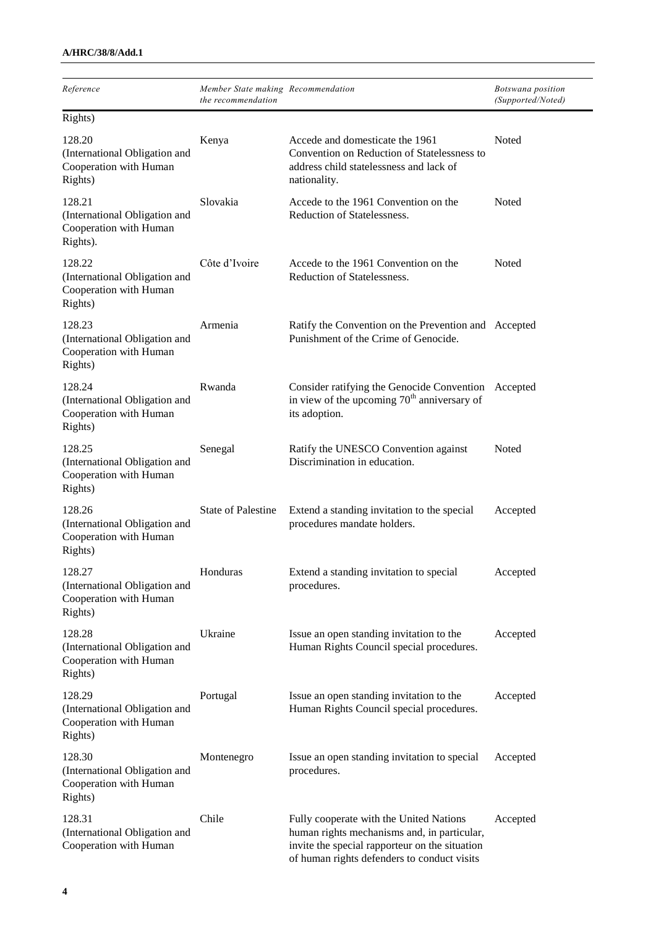| Reference                                                                     | Member State making Recommendation<br>the recommendation |                                                                                                                                                                                         | Botswana position<br>(Supported/Noted) |
|-------------------------------------------------------------------------------|----------------------------------------------------------|-----------------------------------------------------------------------------------------------------------------------------------------------------------------------------------------|----------------------------------------|
| Rights)                                                                       |                                                          |                                                                                                                                                                                         |                                        |
| 128.20<br>(International Obligation and<br>Cooperation with Human<br>Rights)  | Kenya                                                    | Accede and domesticate the 1961<br>Convention on Reduction of Statelessness to<br>address child statelessness and lack of<br>nationality.                                               | Noted                                  |
| 128.21<br>(International Obligation and<br>Cooperation with Human<br>Rights). | Slovakia                                                 | Accede to the 1961 Convention on the<br>Reduction of Statelessness.                                                                                                                     | Noted                                  |
| 128.22<br>(International Obligation and<br>Cooperation with Human<br>Rights)  | Côte d'Ivoire                                            | Accede to the 1961 Convention on the<br>Reduction of Statelessness.                                                                                                                     | Noted                                  |
| 128.23<br>(International Obligation and<br>Cooperation with Human<br>Rights)  | Armenia                                                  | Ratify the Convention on the Prevention and Accepted<br>Punishment of the Crime of Genocide.                                                                                            |                                        |
| 128.24<br>(International Obligation and<br>Cooperation with Human<br>Rights)  | Rwanda                                                   | Consider ratifying the Genocide Convention<br>in view of the upcoming $70th$ anniversary of<br>its adoption.                                                                            | Accepted                               |
| 128.25<br>(International Obligation and<br>Cooperation with Human<br>Rights)  | Senegal                                                  | Ratify the UNESCO Convention against<br>Discrimination in education.                                                                                                                    | Noted                                  |
| 128.26<br>(International Obligation and<br>Cooperation with Human<br>Rights)  | State of Palestine                                       | Extend a standing invitation to the special<br>procedures mandate holders.                                                                                                              | Accepted                               |
| 128.27<br>(International Obligation and<br>Cooperation with Human<br>Rights)  | Honduras                                                 | Extend a standing invitation to special<br>procedures.                                                                                                                                  | Accepted                               |
| 128.28<br>(International Obligation and<br>Cooperation with Human<br>Rights)  | Ukraine                                                  | Issue an open standing invitation to the<br>Human Rights Council special procedures.                                                                                                    | Accepted                               |
| 128.29<br>(International Obligation and<br>Cooperation with Human<br>Rights)  | Portugal                                                 | Issue an open standing invitation to the<br>Human Rights Council special procedures.                                                                                                    | Accepted                               |
| 128.30<br>(International Obligation and<br>Cooperation with Human<br>Rights)  | Montenegro                                               | Issue an open standing invitation to special<br>procedures.                                                                                                                             | Accepted                               |
| 128.31<br>(International Obligation and<br>Cooperation with Human             | Chile                                                    | Fully cooperate with the United Nations<br>human rights mechanisms and, in particular,<br>invite the special rapporteur on the situation<br>of human rights defenders to conduct visits | Accepted                               |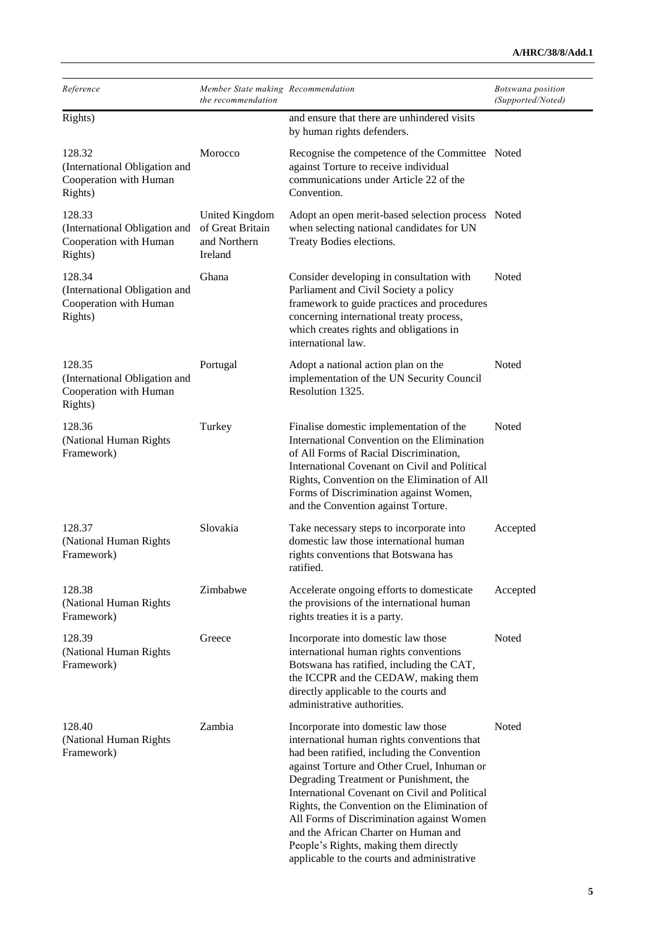| Reference                                                                    | Member State making Recommendation<br>the recommendation      |                                                                                                                                                                                                                                                                                                                                                                                                                                                                                                          | Botswana position<br>(Supported/Noted) |
|------------------------------------------------------------------------------|---------------------------------------------------------------|----------------------------------------------------------------------------------------------------------------------------------------------------------------------------------------------------------------------------------------------------------------------------------------------------------------------------------------------------------------------------------------------------------------------------------------------------------------------------------------------------------|----------------------------------------|
| Rights)                                                                      |                                                               | and ensure that there are unhindered visits<br>by human rights defenders.                                                                                                                                                                                                                                                                                                                                                                                                                                |                                        |
| 128.32<br>(International Obligation and<br>Cooperation with Human<br>Rights) | Morocco                                                       | Recognise the competence of the Committee Noted<br>against Torture to receive individual<br>communications under Article 22 of the<br>Convention.                                                                                                                                                                                                                                                                                                                                                        |                                        |
| 128.33<br>(International Obligation and<br>Cooperation with Human<br>Rights) | United Kingdom<br>of Great Britain<br>and Northern<br>Ireland | Adopt an open merit-based selection process Noted<br>when selecting national candidates for UN<br>Treaty Bodies elections.                                                                                                                                                                                                                                                                                                                                                                               |                                        |
| 128.34<br>(International Obligation and<br>Cooperation with Human<br>Rights) | Ghana                                                         | Consider developing in consultation with<br>Parliament and Civil Society a policy<br>framework to guide practices and procedures<br>concerning international treaty process,<br>which creates rights and obligations in<br>international law.                                                                                                                                                                                                                                                            | Noted                                  |
| 128.35<br>(International Obligation and<br>Cooperation with Human<br>Rights) | Portugal                                                      | Adopt a national action plan on the<br>implementation of the UN Security Council<br>Resolution 1325.                                                                                                                                                                                                                                                                                                                                                                                                     | Noted                                  |
| 128.36<br>(National Human Rights<br>Framework)                               | Turkey                                                        | Finalise domestic implementation of the<br>International Convention on the Elimination<br>of All Forms of Racial Discrimination,<br>International Covenant on Civil and Political<br>Rights, Convention on the Elimination of All<br>Forms of Discrimination against Women,<br>and the Convention against Torture.                                                                                                                                                                                       | Noted                                  |
| 128.37<br>(National Human Rights<br>Framework)                               | Slovakia                                                      | Take necessary steps to incorporate into<br>domestic law those international human<br>rights conventions that Botswana has<br>ratified.                                                                                                                                                                                                                                                                                                                                                                  | Accepted                               |
| 128.38<br>(National Human Rights<br>Framework)                               | Zimbabwe                                                      | Accelerate ongoing efforts to domesticate<br>the provisions of the international human<br>rights treaties it is a party.                                                                                                                                                                                                                                                                                                                                                                                 | Accepted                               |
| 128.39<br>(National Human Rights<br>Framework)                               | Greece                                                        | Incorporate into domestic law those<br>international human rights conventions<br>Botswana has ratified, including the CAT,<br>the ICCPR and the CEDAW, making them<br>directly applicable to the courts and<br>administrative authorities.                                                                                                                                                                                                                                                               | Noted                                  |
| 128.40<br>(National Human Rights<br>Framework)                               | Zambia                                                        | Incorporate into domestic law those<br>international human rights conventions that<br>had been ratified, including the Convention<br>against Torture and Other Cruel, Inhuman or<br>Degrading Treatment or Punishment, the<br>International Covenant on Civil and Political<br>Rights, the Convention on the Elimination of<br>All Forms of Discrimination against Women<br>and the African Charter on Human and<br>People's Rights, making them directly<br>applicable to the courts and administrative | Noted                                  |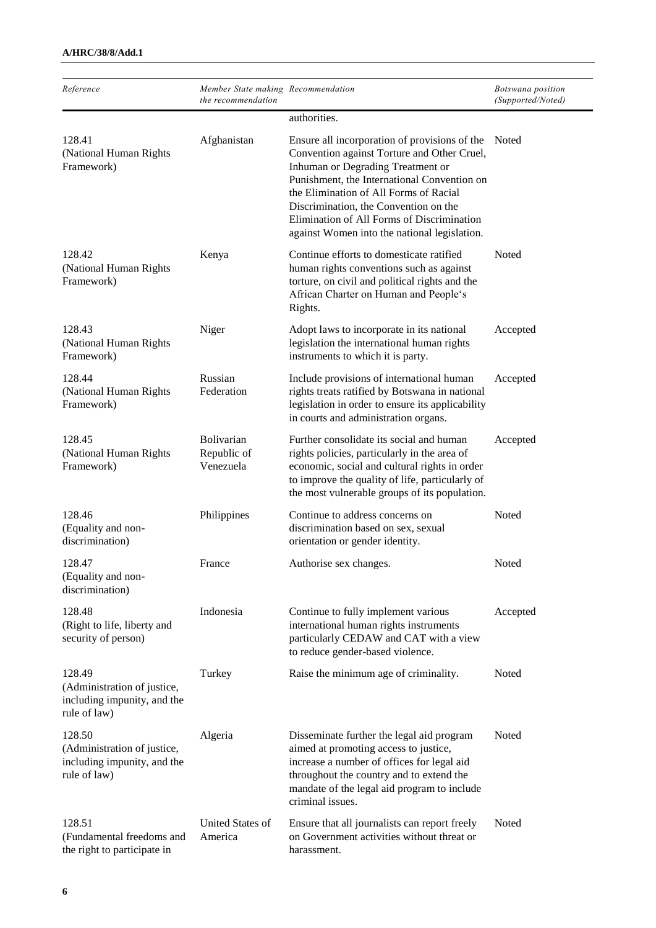| Reference                                                                            | Member State making Recommendation<br>the recommendation |                                                                                                                                                                                                                                                                                                                                                                   | Botswana position<br>(Supported/Noted) |
|--------------------------------------------------------------------------------------|----------------------------------------------------------|-------------------------------------------------------------------------------------------------------------------------------------------------------------------------------------------------------------------------------------------------------------------------------------------------------------------------------------------------------------------|----------------------------------------|
|                                                                                      |                                                          | authorities.                                                                                                                                                                                                                                                                                                                                                      |                                        |
| 128.41<br>(National Human Rights<br>Framework)                                       | Afghanistan                                              | Ensure all incorporation of provisions of the<br>Convention against Torture and Other Cruel,<br>Inhuman or Degrading Treatment or<br>Punishment, the International Convention on<br>the Elimination of All Forms of Racial<br>Discrimination, the Convention on the<br>Elimination of All Forms of Discrimination<br>against Women into the national legislation. | Noted                                  |
| 128.42<br>(National Human Rights<br>Framework)                                       | Kenya                                                    | Continue efforts to domesticate ratified<br>human rights conventions such as against<br>torture, on civil and political rights and the<br>African Charter on Human and People's<br>Rights.                                                                                                                                                                        | Noted                                  |
| 128.43<br>(National Human Rights<br>Framework)                                       | Niger                                                    | Adopt laws to incorporate in its national<br>legislation the international human rights<br>instruments to which it is party.                                                                                                                                                                                                                                      | Accepted                               |
| 128.44<br>(National Human Rights<br>Framework)                                       | Russian<br>Federation                                    | Include provisions of international human<br>rights treats ratified by Botswana in national<br>legislation in order to ensure its applicability<br>in courts and administration organs.                                                                                                                                                                           | Accepted                               |
| 128.45<br>(National Human Rights<br>Framework)                                       | Bolivarian<br>Republic of<br>Venezuela                   | Further consolidate its social and human<br>rights policies, particularly in the area of<br>economic, social and cultural rights in order<br>to improve the quality of life, particularly of<br>the most vulnerable groups of its population.                                                                                                                     | Accepted                               |
| 128.46<br>(Equality and non-<br>discrimination)                                      | Philippines                                              | Continue to address concerns on<br>discrimination based on sex, sexual<br>orientation or gender identity.                                                                                                                                                                                                                                                         | Noted                                  |
| 128.47<br>(Equality and non-<br>discrimination)                                      | France                                                   | Authorise sex changes.                                                                                                                                                                                                                                                                                                                                            | Noted                                  |
| 128.48<br>(Right to life, liberty and<br>security of person)                         | Indonesia                                                | Continue to fully implement various<br>international human rights instruments<br>particularly CEDAW and CAT with a view<br>to reduce gender-based violence.                                                                                                                                                                                                       | Accepted                               |
| 128.49<br>(Administration of justice,<br>including impunity, and the<br>rule of law) | Turkey                                                   | Raise the minimum age of criminality.                                                                                                                                                                                                                                                                                                                             | Noted                                  |
| 128.50<br>(Administration of justice,<br>including impunity, and the<br>rule of law) | Algeria                                                  | Disseminate further the legal aid program<br>aimed at promoting access to justice,<br>increase a number of offices for legal aid<br>throughout the country and to extend the<br>mandate of the legal aid program to include<br>criminal issues.                                                                                                                   | Noted                                  |
| 128.51<br>(Fundamental freedoms and<br>the right to participate in                   | United States of<br>America                              | Ensure that all journalists can report freely<br>on Government activities without threat or<br>harassment.                                                                                                                                                                                                                                                        | Noted                                  |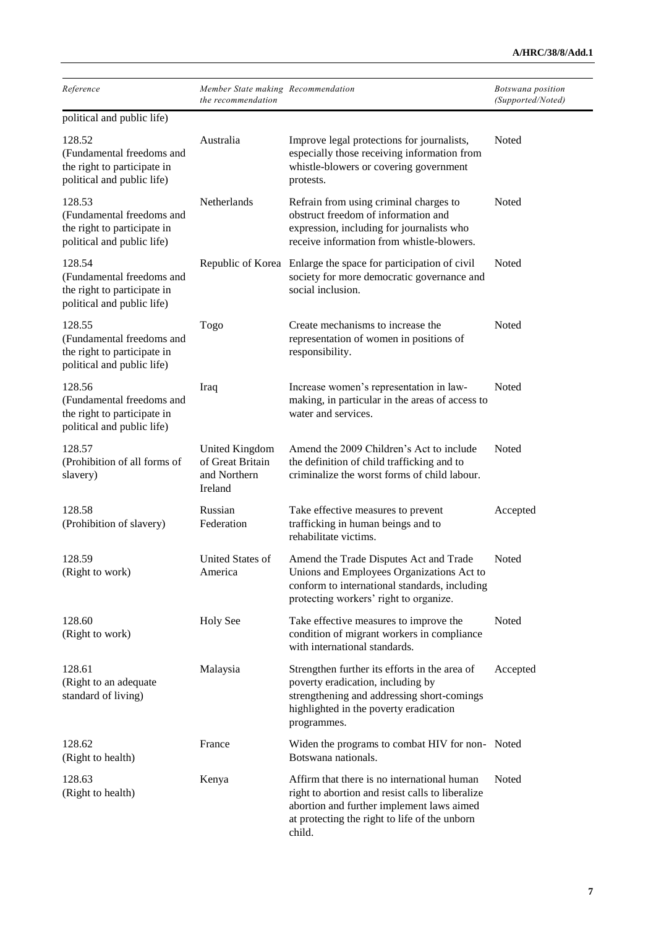| Reference                                                                                        | Member State making Recommendation                            |                                                                                                                                                                                                         | Botswana position |
|--------------------------------------------------------------------------------------------------|---------------------------------------------------------------|---------------------------------------------------------------------------------------------------------------------------------------------------------------------------------------------------------|-------------------|
|                                                                                                  | the recommendation                                            |                                                                                                                                                                                                         | (Supported/Noted) |
| political and public life)                                                                       |                                                               |                                                                                                                                                                                                         |                   |
| 128.52<br>(Fundamental freedoms and<br>the right to participate in<br>political and public life) | Australia                                                     | Improve legal protections for journalists,<br>especially those receiving information from<br>whistle-blowers or covering government<br>protests.                                                        | <b>Noted</b>      |
| 128.53<br>(Fundamental freedoms and<br>the right to participate in<br>political and public life) | Netherlands                                                   | Refrain from using criminal charges to<br>obstruct freedom of information and<br>expression, including for journalists who<br>receive information from whistle-blowers.                                 | Noted             |
| 128.54<br>(Fundamental freedoms and<br>the right to participate in<br>political and public life) | Republic of Korea                                             | Enlarge the space for participation of civil<br>society for more democratic governance and<br>social inclusion.                                                                                         | Noted             |
| 128.55<br>(Fundamental freedoms and<br>the right to participate in<br>political and public life) | Togo                                                          | Create mechanisms to increase the<br>representation of women in positions of<br>responsibility.                                                                                                         | Noted             |
| 128.56<br>(Fundamental freedoms and<br>the right to participate in<br>political and public life) | Iraq                                                          | Increase women's representation in law-<br>making, in particular in the areas of access to<br>water and services.                                                                                       | Noted             |
| 128.57<br>(Prohibition of all forms of<br>slavery)                                               | United Kingdom<br>of Great Britain<br>and Northern<br>Ireland | Amend the 2009 Children's Act to include<br>the definition of child trafficking and to<br>criminalize the worst forms of child labour.                                                                  | Noted             |
| 128.58<br>(Prohibition of slavery)                                                               | Russian<br>Federation                                         | Take effective measures to prevent<br>trafficking in human beings and to<br>rehabilitate victims.                                                                                                       | Accepted          |
| 128.59<br>(Right to work)                                                                        | United States of<br>America                                   | Amend the Trade Disputes Act and Trade<br>Unions and Employees Organizations Act to<br>conform to international standards, including<br>protecting workers' right to organize.                          | Noted             |
| 128.60<br>(Right to work)                                                                        | <b>Holy See</b>                                               | Take effective measures to improve the<br>condition of migrant workers in compliance<br>with international standards.                                                                                   | Noted             |
| 128.61<br>(Right to an adequate<br>standard of living)                                           | Malaysia                                                      | Strengthen further its efforts in the area of<br>poverty eradication, including by<br>strengthening and addressing short-comings<br>highlighted in the poverty eradication<br>programmes.               | Accepted          |
| 128.62<br>(Right to health)                                                                      | France                                                        | Widen the programs to combat HIV for non- Noted<br>Botswana nationals.                                                                                                                                  |                   |
| 128.63<br>(Right to health)                                                                      | Kenya                                                         | Affirm that there is no international human<br>right to abortion and resist calls to liberalize<br>abortion and further implement laws aimed<br>at protecting the right to life of the unborn<br>child. | Noted             |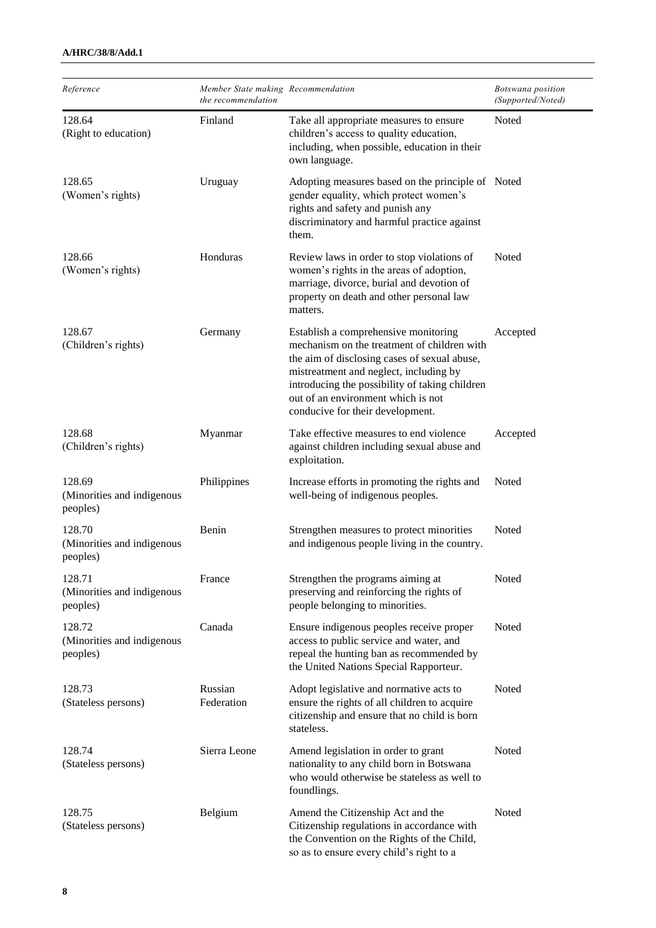| Reference                                        | Member State making Recommendation<br>the recommendation |                                                                                                                                                                                                                                                                                                           | Botswana position<br>(Supported/Noted) |
|--------------------------------------------------|----------------------------------------------------------|-----------------------------------------------------------------------------------------------------------------------------------------------------------------------------------------------------------------------------------------------------------------------------------------------------------|----------------------------------------|
| 128.64<br>(Right to education)                   | Finland                                                  | Take all appropriate measures to ensure<br>children's access to quality education,<br>including, when possible, education in their<br>own language.                                                                                                                                                       | Noted                                  |
| 128.65<br>(Women's rights)                       | Uruguay                                                  | Adopting measures based on the principle of Noted<br>gender equality, which protect women's<br>rights and safety and punish any<br>discriminatory and harmful practice against<br>them.                                                                                                                   |                                        |
| 128.66<br>(Women's rights)                       | Honduras                                                 | Review laws in order to stop violations of<br>women's rights in the areas of adoption,<br>marriage, divorce, burial and devotion of<br>property on death and other personal law<br>matters.                                                                                                               | Noted                                  |
| 128.67<br>(Children's rights)                    | Germany                                                  | Establish a comprehensive monitoring<br>mechanism on the treatment of children with<br>the aim of disclosing cases of sexual abuse,<br>mistreatment and neglect, including by<br>introducing the possibility of taking children<br>out of an environment which is not<br>conducive for their development. | Accepted                               |
| 128.68<br>(Children's rights)                    | Myanmar                                                  | Take effective measures to end violence<br>against children including sexual abuse and<br>exploitation.                                                                                                                                                                                                   | Accepted                               |
| 128.69<br>(Minorities and indigenous<br>peoples) | Philippines                                              | Increase efforts in promoting the rights and<br>well-being of indigenous peoples.                                                                                                                                                                                                                         | Noted                                  |
| 128.70<br>(Minorities and indigenous<br>peoples) | Benin                                                    | Strengthen measures to protect minorities<br>and indigenous people living in the country.                                                                                                                                                                                                                 | Noted                                  |
| 128.71<br>(Minorities and indigenous<br>peoples) | France                                                   | Strengthen the programs aiming at<br>preserving and reinforcing the rights of<br>people belonging to minorities.                                                                                                                                                                                          | Noted                                  |
| 128.72<br>(Minorities and indigenous<br>peoples) | Canada                                                   | Ensure indigenous peoples receive proper<br>access to public service and water, and<br>repeal the hunting ban as recommended by<br>the United Nations Special Rapporteur.                                                                                                                                 | Noted                                  |
| 128.73<br>(Stateless persons)                    | Russian<br>Federation                                    | Adopt legislative and normative acts to<br>ensure the rights of all children to acquire<br>citizenship and ensure that no child is born<br>stateless.                                                                                                                                                     | Noted                                  |
| 128.74<br>(Stateless persons)                    | Sierra Leone                                             | Amend legislation in order to grant<br>nationality to any child born in Botswana<br>who would otherwise be stateless as well to<br>foundlings.                                                                                                                                                            | Noted                                  |
| 128.75<br>(Stateless persons)                    | Belgium                                                  | Amend the Citizenship Act and the<br>Citizenship regulations in accordance with<br>the Convention on the Rights of the Child,<br>so as to ensure every child's right to a                                                                                                                                 | Noted                                  |